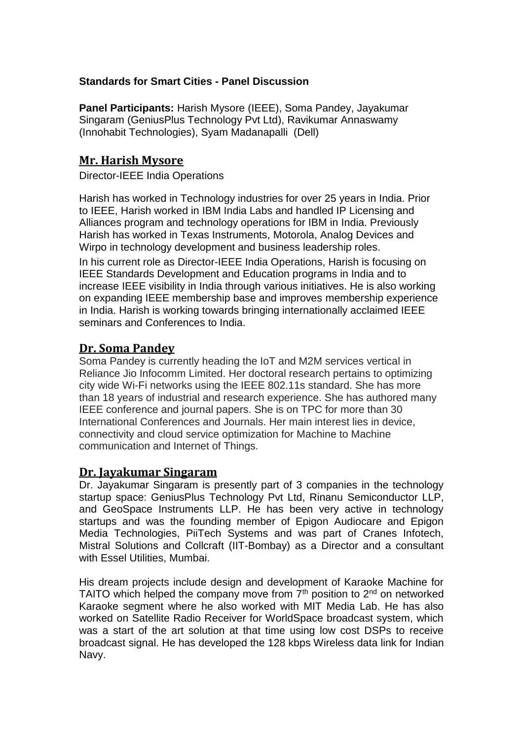#### **Standards for Smart Cities - Panel Discussion**

**Panel Participants:** Harish Mysore (IEEE), Soma Pandey, Jayakumar Singaram (GeniusPlus Technology Pvt Ltd), Ravikumar Annaswamy (Innohabit Technologies), Syam Madanapalli (Dell)

#### **Mr. Harish Mysore**

Director-IEEE India Operations

Harish has worked in Technology industries for over 25 years in India. Prior to IEEE, Harish worked in IBM India Labs and handled IP Licensing and Alliances program and technology operations for IBM in India. Previously Harish has worked in Texas Instruments, Motorola, Analog Devices and Wirpo in technology development and business leadership roles.

In his current role as Director-IEEE India Operations, Harish is focusing on IEEE Standards Development and Education programs in India and to increase IEEE visibility in India through various initiatives. He is also working on expanding IEEE membership base and improves membership experience in India. Harish is working towards bringing internationally acclaimed IEEE seminars and Conferences to India.

### **Dr. Soma Pandey**

Soma Pandey is currently heading the IoT and M2M services vertical in Reliance Jio Infocomm Limited. Her doctoral research pertains to optimizing city wide Wi-Fi networks using the IEEE 802.11s standard. She has more than 18 years of industrial and research experience. She has authored many IEEE conference and journal papers. She is on TPC for more than 30 International Conferences and Journals. Her main interest lies in device, connectivity and cloud service optimization for Machine to Machine communication and Internet of Things.

### **Dr. Jayakumar Singaram**

Dr. Jayakumar Singaram is presently part of 3 companies in the technology startup space: GeniusPlus Technology Pvt Ltd, Rinanu Semiconductor LLP, and GeoSpace Instruments LLP. He has been very active in technology startups and was the founding member of Epigon Audiocare and Epigon Media Technologies, PiiTech Systems and was part of Cranes Infotech, Mistral Solutions and Collcraft (IIT-Bombay) as a Director and a consultant with Essel Utilities, Mumbai.

His dream projects include design and development of Karaoke Machine for TAITO which helped the company move from  $7<sup>th</sup>$  position to  $2<sup>nd</sup>$  on networked Karaoke segment where he also worked with MIT Media Lab. He has also worked on Satellite Radio Receiver for WorldSpace broadcast system, which was a start of the art solution at that time using low cost DSPs to receive broadcast signal. He has developed the 128 kbps Wireless data link for Indian Navy.